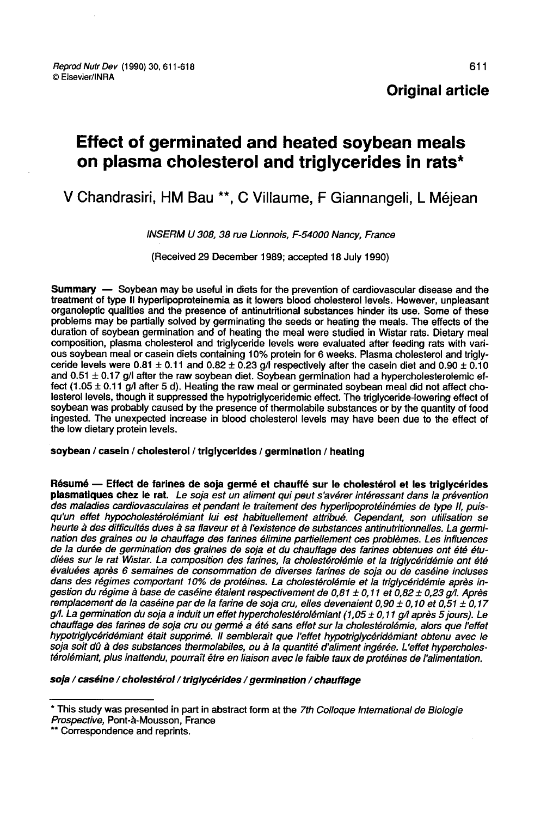## Original article

# Effect of germinated and heated soybean meals on plasma cholesterol and triglycerides in rats\*

V Chandrasiri, HM Bau \*\*, C Villaume, F Giannangeli, L Méjean

INSERM U 308, 38 rue Lionnois, F-54000 Nancy, France

(Received 29 December 1989; accepted 18 July 1990)

Summary — Soybean may be useful in diets for the prevention of cardiovascular disease and the treatment of type II hyperlipoproteinemia as it lowers blood cholesterol levels. However, unpleasant organoleptic qualities and the presence of antinutritional substances hinder its use. Some of these problems may be partially solved by germinating the seeds or heating the meals. The effects of the duration of soybean germination and of heating the meal were studied in Wistar rats. Dietary meal composition, plasma cholesterol and triglyceride levels were evaluated after feeding rats with various soybean meal or casein diets containing 10% protein for 6 weeks. Plasma cholesterol and trigly-<br>ceride levels were  $0.81 \pm 0.11$  and  $0.82 \pm 0.23$  g/I respectively after the casein diet and  $0.90 \pm 0.10$ and  $0.51 \pm 0.17$  g/l after the raw soybean diet. Soybean germination had a hypercholesterolemic effect (1.05  $\pm$  0.11 g/l after 5 d). Heating the raw meal or germinated soybean meal did not affect cholesterol levels, though it suppressed the hypotriglyceridemic effect. The triglyceride-lowering effect of soybean was probably caused by the presence of thermolabile substances or by the quantity of food ingested. The unexpected increase in blood cholesterol levels may have been due to the effect of the low dietary protein levels.

#### soybean / casein / cholesterol / triglycerides / germination / heating

Résumé — Effect de farines de soja germé et chauffé sur le cholestérol et les triglycérides<br>plasmatiques chez le rat. Le soja est un aliment qui peut s'avérer intéressant dans la prévention<br>des maladies cardiovasculaires e qu'un effet hypocholestérolémiant lui est habituellement attribué. Cependant, son utilisation se<br>heurte à des difficultés dues à sa flaveur et à l'existence de substances antinutritionnelles. La germination des graines ou le chauffage des farines élimine partiellement ces problèmes. Les influences de la durée de germination des graines de soja et du chauffage des farines obtenues ont été étudiées sur le rat Wistar. La composition des farines, la cholestérolémie et la triglycéridémie ont été évaluées après 6 semaines de consommation de diverses farines de soja ou de caséine incluses dans des régimes comportant 10% de protéines. La cholestérolémie et la triglycéridémie après in-<br>gestion du régime à base de caséine étaient respectivement de 0,81 ± 0,11 et 0,82 ± 0,23 g/l. Après remplacement de la caséine par de la farine de soja cru, elles devenaient 0,90 ± 0,10 et 0,51 ± 0,17 g/l. La germination du soja a induit un effet hypercholestérolémiant (1,05 ± 0,11 g/l après 5 jours). Le chauffage des farines de soja cru ou germé a été sans effet sur la cholestérolémie, alors que l'effet hypotriglycéridémiant était supprimé. Il semblerait que l'effet hypotriglycéridémiant obtenu avec le<br>soja soit dû à des substances thermolabiles, ou à la quantité d'aliment ingérée. L'effet hypercholestérolémiant, plus inattendu, pourraît être en liaison avec le faible taux de protéines de l'alimentation.

soja / caséine / cholestérol / triglycérides / germination / chauffage

<sup>\*</sup> This study was presented in part in abstract form at the 7th Colloque International de Biologie Prospective, Pont-à-Mousson, France<br>\*\* Correspondence and reprints.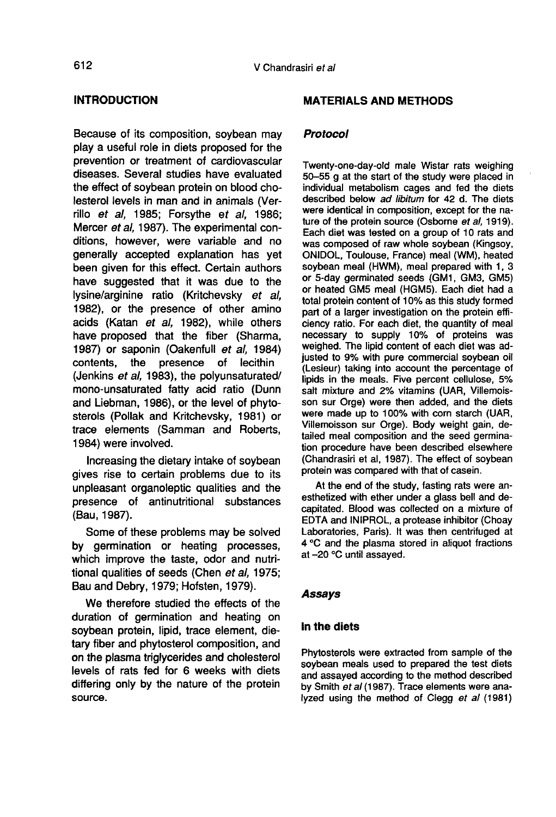## INTRODUCTION

Because of its composition, soybean may play a useful role in diets proposed for the prevention or treatment of cardiovascular diseases. Several studies have evaluated the effect of soybean protein on blood cholesterol levels in man and in animals (Verrillo et al, 1985; Forsythe et al, 1986; Mercer et al, 1987). The experimental conditions, however, were variable and no generally accepted explanation has yet been given for this effect. Certain authors have suggested that it was due to the lysine/arginine ratio (Kritchevsky et al, 1982), or the presence of other amino acids (Katan et al, 1982), while others have proposed that the fiber (Sharma, 1987) or saponin (Oakenfull et al, 1984) contents, the presence of lecithin (Jenkins et al, 1983), the polyunsaturated/ mono-unsaturated fatty acid ratio (Dunn and Liebman, 1986), or the level of phytosterols (Pollak and Kritchevsky, 1981) or trace elements (Samman and Roberts, 1984) were involved.

Increasing the dietary intake of soybean gives rise to certain problems due to its unpleasant organoleptic qualities and the presence of antinutritional substances (Bau, 1987).

Some of these problems may be solved by germination or heating processes, which improve the taste, odor and nutritional qualities of seeds (Chen et al, 1975; Bau and Debry, 1979; Hofsten, 1979).

We therefore studied the effects of the duration of germination and heating on soybean protein, lipid, trace element, dietary fiber and phytosterol composition, and on the plasma triglycerides and cholesterol levels of rats fed for 6 weeks with diets differing only by the nature of the protein source.

#### MATERIALS AND METHODS

#### Protocol

Twenty-one-day-old male Wistar rats weighing 50-55 g at the start of the study were placed in individual metabolism cages and fed the diets described below ad libitum for 42 d. The diets were identical in composition, except for the nature of the protein source (Osborne et al, 1919). Each diet was tested on a group of 10 rats and was composed of raw whole soybean (Kingsoy, ONIDOL, Toulouse, France) meal (WM), heated soybean meal (HWM), meal prepared with 1, 3<br>or 5-day germinated seeds (GM1, GM3, GM5) or heated GM5 meal (HGM5). Each diet had a total protein content of 10% as this study formed part of a larger investigation on the protein efficiency ratio. For each diet, the quantity of meal necessary to supply 10% of proteins was weighed. The lipid content of each diet was adjusted to 9% with pure commercial soybean oil (Lesieur) taking into account the percentage of lipids in the meals. Five percent cellulose, 5% salt mixture and 2% vitamins (UAR, Villemoisson sur Orge) were then added, and the diets were made up to 100% with corn starch (UAR, Villemoisson sur Orge). Body weight gain, detailed meal composition and the seed germination procedure have been described elsewhere (Chandrasiri et al, 1987). The effect of soybean protein was compared with that of casein.

At the end of the study, fasting rats were anesthetized with ether under a glass bell and decapitated. Blood was collected on a mixture of EDTA and INIPROL, a protease inhibitor (Choay Laboratories, Paris). It was then centrifuged at 4 °C and the plasma stored in aliquot fractions at -20 °C until assayed.

#### Assays

#### In the diets

Phytosterols were extracted from sample of the soybean meals used to prepared the test diets and assayed according to the method described by Smith et al (1987). Trace elements were analyzed using the method of Clegg et al (1981)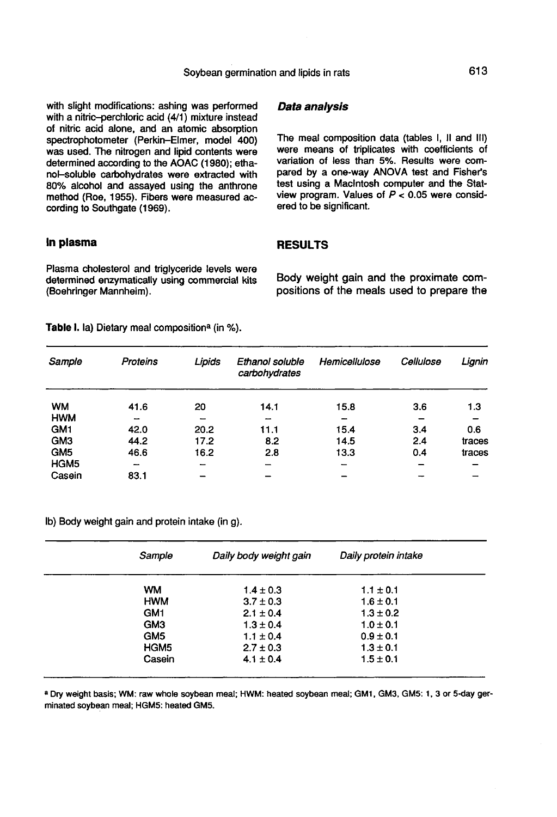with slight modifications: ashing was performed with a nitric-perchloric acid  $(4/1)$  mixture instead of nitric acid alone, and an atomic absorption spectrophotometer (Perkin-Elmer, model 400) was used. The nitrogen and lipid contents were determined according to the AOAC (1980); ethanol-soluble carbohydrates were extracted with 80% alcohol and assayed using the anthrone method (Roe, 1955). Fibers were measured according to Southgate (1969).

#### In plasma

Plasma cholesterol and triglyceride levels were determined enzymatically using commercial kits (Boehringer Mannheim).

Data analysis

The meal composition data (tables I, II and III) were means of triplicates with coefficients of variation of less than 5%. Results were compared by a one-way ANOVA test and Fisher's test using a Macintosh computer and the Statview program. Values of  $P < 0.05$  were considered to be significant.

## RESULTS

Body weight gain and the proximate compositions of the meals used to prepare the

Table I. la) Dietary meal composition<sup>a</sup> (in %).

| Sample           | Proteins                 | Lipids                   | Ethanol soluble<br>carbohydrates | Hemicellulose | Cellulose | Lignin |
|------------------|--------------------------|--------------------------|----------------------------------|---------------|-----------|--------|
| <b>WM</b>        | 41.6                     | 20                       | 14.1                             | 15.8          | 3.6       | 1.3    |
| <b>HWM</b>       | -                        | $\overline{\phantom{a}}$ | $\overline{\phantom{m}}$         | -             |           |        |
| GM <sub>1</sub>  | 42.0                     | 20.2                     | 11.1                             | 15.4          | 3.4       | 0.6    |
| GM <sub>3</sub>  | 44.2                     | 17.2                     | 8.2                              | 14.5          | 2.4       | traces |
| GM <sub>5</sub>  | 46.6                     | 16.2                     | 2.8                              | 13.3          | 0.4       | traces |
| HGM <sub>5</sub> | $\overline{\phantom{a}}$ | $\overline{\phantom{0}}$ | $\overline{\phantom{0}}$         |               | -         |        |
| Casein           | 83.1                     | -                        |                                  |               |           |        |

lb) Body weight gain and protein intake (in g).

| Sample           | Daily body weight gain | Daily protein intake |  |
|------------------|------------------------|----------------------|--|
| <b>WM</b>        | $1.4 \pm 0.3$          | $1.1 \pm 0.1$        |  |
| <b>HWM</b>       | $3.7 \pm 0.3$          | $1.6 \pm 0.1$        |  |
| GM <sub>1</sub>  | $2.1 \pm 0.4$          | $1.3 \pm 0.2$        |  |
| GM <sub>3</sub>  | $1.3 \pm 0.4$          | $1.0 \pm 0.1$        |  |
| GM5              | $1.1 \pm 0.4$          | $0.9 \pm 0.1$        |  |
| HGM <sub>5</sub> | $2.7 \pm 0.3$          | $1.3 \pm 0.1$        |  |
| Casein           | $4.1 \pm 0.4$          | $1.5 \pm 0.1$        |  |
|                  |                        |                      |  |

a Dry weight basis; WM: raw whole soybean meal; HWM: heated soybean meal; GM1, GM3, GM5: 1, 3 or 5-day germinated soybean meal; HGM5: heated GM5.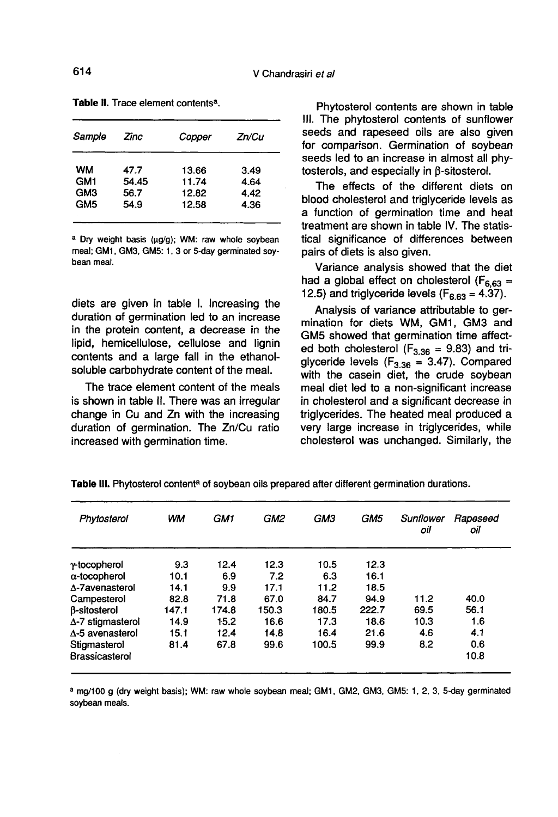| Sample          | Zinc  | Copper | Zn/Cu |
|-----------------|-------|--------|-------|
| WM              | 47.7  | 13.66  | 3.49  |
| GM <sub>1</sub> | 54.45 | 11.74  | 4.64  |
| GM3             | 56.7  | 12.82  | 4.42  |
| GM <sub>5</sub> | 54.9  | 12.58  | 4.36  |

Table II. Trace element contents<sup>a</sup>.

a Dry weight basis (µg/g); WM: raw whole soybean meal: GM1, GM3, GM5: 1, 3 or 5-day germinated sovbean meal

diets are given in table I. Increasing the duration of germination led to an increase in the protein content, a decrease in the lipid, hemicellulose, cellulose and lignin contents and a large fall in the ethanolsoluble carbohydrate content of the meal.

The trace element content of the meals is shown in table II. There was an irregular change in Cu and Zn with the increasing duration of germination. The Zn/Cu ratio increased with germination time.

Phytosterol contents are shown in table Ill. The phytosterol contents of sunflower seeds and rapeseed oils are also given for comparison. Germination of soybean seeds led to an increase in almost all phytosterols, and especially in  $\beta$ -sitosterol.

The effects of the different diets on blood cholesterol and triglyceride levels as a function of germination time and heat treatment are shown in table IV. The statistical significance of differences between pairs of diets is also given.

Variance analysis showed that the diet had a global effect on cholesterol ( $F_{6,63}$  = 12.5) and triglyceride levels ( $F_{6.63}$  = 4.37).

Analysis of variance attributable to germination for diets WM, GM1, GM3 and GM5 showed that germination time affectmination for diets WM, GM1, GM3 and<br>GM5 showed that germination time affect-<br>ed both cholesterol (F<sub>3.36</sub> = 9.83) and tri-<br>glyceride levels (F<sub>6.09</sub> = 3.47). Compared GM5 showed that germination time affect-<br>ed both cholesterol  $(F_{3,36} = 9.83)$  and tri-<br>glyceride levels  $(F_{3,36} = 3.47)$ . Compared<br>with the casein diet the crude sovbean with the casein diet, the crude soybean meal diet led to a non-significant increase in cholesterol and a significant decrease in triglycerides. The heated meal produced a very large increase in triglycerides, while cholesterol was unchanged. Similarly, the

| Phytosterol              | wм    | GM1   | GM2   | GM3   | GM <sub>5</sub> | Sunflower<br>oil | Rapeseed<br>oil |
|--------------------------|-------|-------|-------|-------|-----------------|------------------|-----------------|
| y-tocopherol             | 9.3   | 12.4  | 12.3  | 10.5  | 12.3            |                  |                 |
| $\alpha$ -tocopherol     | 10.1  | 6.9   | 7.2   | 6.3   | 16.1            |                  |                 |
| A-7avenasterol           | 14.1  | 9.9   | 17.1  | 11.2  | 18.5            |                  |                 |
| Campesterol              | 82.8  | 71.8  | 67.0  | 84.7  | 94.9            | 11.2             | 40.0            |
| <b>B-sitosterol</b>      | 147.1 | 174.8 | 150.3 | 180.5 | 222.7           | 69.5             | 56.1            |
| $\Delta$ -7 stigmasterol | 14.9  | 15.2  | 16.6  | 17.3  | 18.6            | 10.3             | 1.6             |
| $\Delta$ -5 avenasterol  | 15.1  | 12.4  | 14.8  | 16.4  | 21.6            | 4.6              | 4.1             |
| Stigmasterol             | 81.4  | 67.8  | 99.6  | 100.5 | 99.9            | 8.2              | 0.6             |
| Brassicasterol           |       |       |       |       |                 |                  | 10.8            |

Table III. Phytosterol content<sup>a</sup> of soybean oils prepared after different germination durations.

a mg/100 g (dry weight basis); WM: raw whole soybean meal; GM1, GM2, GM3, GM5: 1, 2, 3, 5-day germinated soybean meals.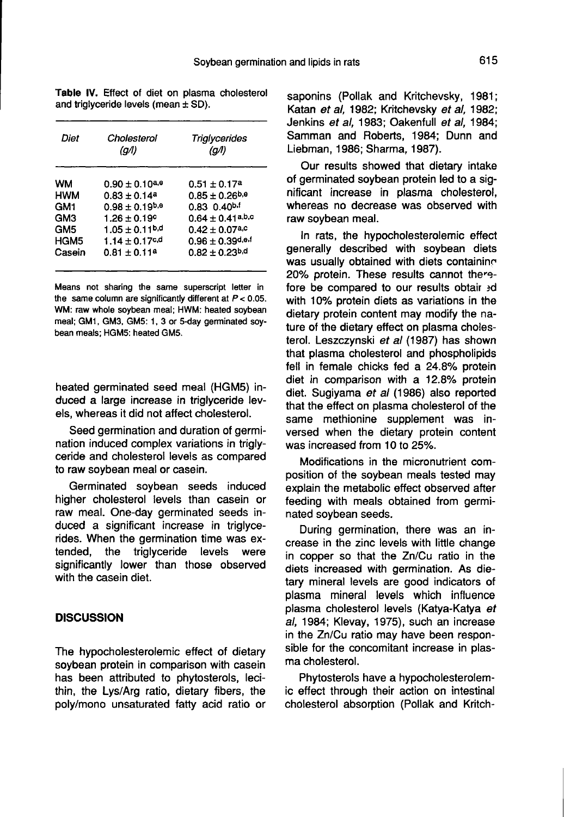| Diet            | Cholesterol<br>(g/l)         | Triglycerides<br>(a/l)         |
|-----------------|------------------------------|--------------------------------|
| WМ              | $0.90 \pm 0.10^{a,e}$        | $0.51 \pm 0.17^a$              |
| <b>HWM</b>      | $0.83 \pm 0.14$ <sup>a</sup> | $0.85 \pm 0.26^{b,e}$          |
| GM1             | $0.98 \pm 0.19^{b,e}$        | $0.83$ $0.40^{b.1}$            |
| GM3             | $1.26 + 0.19^{\circ}$        | $0.64 \pm 0.41^{a,b,c}$        |
| GM <sub>5</sub> | $1.05 \pm 0.11^{b,d}$        | $0.42 \pm 0.07$ a,c            |
| HGM5            | $1.14 \pm 0.17$ c, d         | $0.96 \pm 0.39$ d,e.f          |
| Casein          | $0.81 \pm 0.11^a$            | $0.82 \pm 0.23$ <sup>b,d</sup> |

Table IV. Effect of diet on plasma cholesterol and trigiyceride levels (mean  $\pm$  SD).

Means not sharing the same superscript letter in the same column are significantly different at  $P < 0.05$ . WM: raw whole soybean meal; HWM: heated soybean meal; GM1, GM3, GM5: 1, 3 or 5-day germinated soybean meals; HGM5: heated GM5.

heated germinated seed meal (HGM5) induced a large increase in triglyceride levels, whereas it did not affect cholesterol.

Seed germination and duration of germination induced complex variations in triglyceride and cholesterol levels as compared to raw soybean meal or casein.

Germinated soybean seeds induced higher cholesterol levels than casein or raw meal. One-day germinated seeds induced a significant increase in triglycerides. When the germination time was extended, the triglyceride levels were triglyceride significantly lower than those observed with the casein diet.

#### **DISCUSSION**

The hypocholesterolemic effect of dietary soybean protein in comparison with casein has been attributed to phytosterols, lecithin, the Lys/Arg ratio, dietary fibers, the poly/mono unsaturated fatty acid ratio or

saponins (Pollak and Kritchevsky, 1981; Katan et al, 1982; Kritchevsky et al, 1982; Jenkins et al, 1983; Oakenfull et al, 1984; Samman and Roberts, 1984; Dunn and Liebman, 1986; Sharma, 1987).

Our results showed that dietary intake of germinated soybean protein led to a significant increase in plasma cholesterol, whereas no decrease was observed with raw soybean meal.

In rats, the hypocholesterolemic effect generally described with soybean diets was usually obtained with diets containing 20% protein. These results cannot thereeas no decrease was observed with<br>toybean meal.<br>rats, the hypocholesterolemic effect<br>rally described with soybean diets<br>usually obtained with diets containing<br>protein. These results cannot therefore be compared to our results obtair 3d with 10% protein diets as variations in the dietary protein content may modify the nature of the dietary effect on plasma cholesterol. Leszczynski et al (1987) has shown that plasma cholesterol and phospholipids fell in female chicks fed a 24.8% protein diet in comparison with a 12.8% protein diet. Sugiyama et al (1986) also reported that the effect on plasma cholesterol of the same methionine supplement was inversed when the dietary protein content was increased from 10 to 25%.

Modifications in the micronutrient composition of the soybean meals tested may explain the metabolic effect observed after feeding with meals obtained from germinated soybean seeds.

During germination, there was an increase in the zinc levels with little change in copper so that the Zn/Cu ratio in the diets increased with germination. As dietary mineral levels are good indicators of plasma mineral levels which influence plasma cholesterol levels (Katya-Katya et al, 1984; Klevay, 1975), such an increase in the Zn/Cu ratio may have been responsible for the concomitant increase in plas-<br>ma cholesterol.

Phytosterols have a hypocholesterolemic effect through their action on intestinal cholesterol absorption (Pollak and Kritch-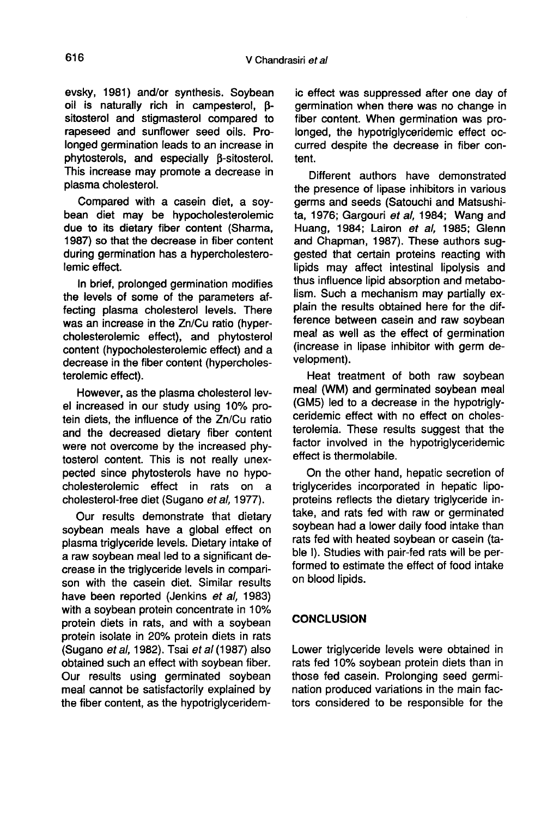evsky, 1981) and/or synthesis. Soybean oil is naturally rich in campesterol,  $\beta$ sitosterol and stigmasterol compared to rapeseed and sunflower seed oils. Prolonged germination leads to an increase in phytosterols, and especially  $\beta$ -sitosterol. This increase may promote a decrease in plasma cholesterol.

Compared with a casein diet, a soybean diet may be hypocholesterolemic due to its dietary fiber content (Sharma, 1987) so that the decrease in fiber content during germination has a hypercholesterolemic effect.

In brief, prolonged germination modifies the levels of some of the parameters affecting plasma cholesterol levels. There was an increase in the Zn/Cu ratio (hypercholesterolemic effect), and phytosterol content (hypocholesterolemic effect) and a decrease in the fiber content (hypercholesterolemic effect).

However, as the plasma cholesterol level increased in our study using 10% protein diets, the influence of the Zn/Cu ratio and the decreased dietary fiber content were not overcome by the increased phytosterol content. This is not really unexpected since phytosterols have no hypocholesterolemic effect in rats on a cholesterol-free diet (Sugano et al, 1977).

Our results demonstrate that dietary soybean meals have a global effect on plasma triglyceride levels. Dietary intake of a raw soybean meal led to a significant decrease in the triglyceride levels in compari son with the casein diet. Similar results have been reported (Jenkins et al, 1983) with a soybean protein concentrate in 10% protein diets in rats, and with a soybean protein isolate in 20% protein diets in rats (Sugano et al, 1982). Tsai et al (1987) also obtained such an effect with soybean fiber. Our results using germinated soybean meal cannot be satisfactorily explained by the fiber content, as the hypotriglyceridemic effect was suppressed after one day of germination when there was no change in fiber content. When germination was prolonged, the hypotriglyceridemic effect occurred despite the decrease in fiber content.

Different authors have demonstrated the presence of lipase inhibitors in various germs and seeds (Satouchi and Matsushita, 1976; Gargouri et al, 1984; Wang and Huang, 1984; Lairon et al, 1985; Glenn and Chapman, 1987). These authors suggested that certain proteins reacting with lipids may affect intestinal lipolysis and thus influence lipid absorption and metabolism. Such a mechanism may partially explain the results obtained here for the difference between casein and raw soybean meal as well as the effect of germination (increase in lipase inhibitor with germ development).

Heat treatment of both raw soybean meal (WM) and germinated soybean meal (GM5) led to a decrease in the hypotriglyceridemic effect with no effect on cholesterolemia. These results suggest that the factor involved in the hypotriglyceridemic effect is thermolabile.

On the other hand, hepatic secretion of triglycerides incorporated in hepatic lipoproteins reflects the dietary triglyceride intake, and rats fed with raw or germinated soybean had a lower daily food intake than rats fed with heated soybean or casein (table I). Studies with pair-fed rats will be performed to estimate the effect of food intake on blood lipids.

## **CONCLUSION**

Lower triglyceride levels were obtained in rats fed 10% soybean protein diets than in those fed casein. Prolonging seed germination produced variations in the main factors considered to be responsible for the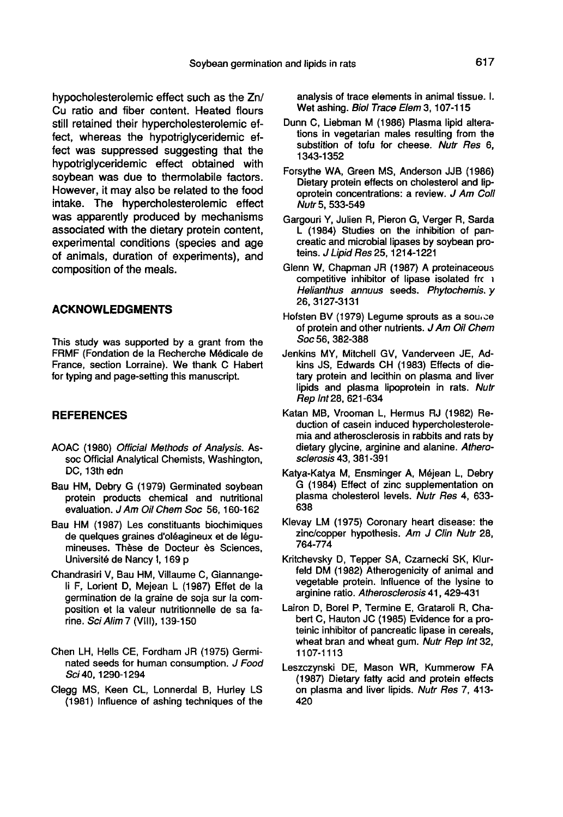hypocholesterolemic effect such as the Zn/ Cu ratio and fiber content. Heated flours still retained their hypercholesterolemic effect, whereas the hypotriglyceridemic effect was suppressed suggesting that the hypotriglyceridemic effect obtained with soybean was due to thermolabile factors. However, it may also be related to the food intake. The hypercholesterolemic effect was apparently produced by mechanisms associated with the dietary protein content, experimental conditions (species and age of animals, duration of experiments), and composition of the meals.

## ACKNOWLEDGMENTS

This study was supported by a grant from the FRMF (Fondation de la Recherche Médicale de France, section Lorraine). We thank C Habert for typing and page-setting this manuscript.

#### **REFERENCES**

- AOAC (1980) Official Methods of Analysis. Assoc Official Analytical Chemists, Washington, DC, 13th edn
- Bau HM, Debry G (1979) Germinated soybean protein products chemical and nutritional evaluation. J Am Oil Chem Soc 56, 160-162
- Bau HM (1987) Les constituants biochimiques de quelques graines d'oléagineux et de 16gumineuses. These de Docteur ès Sciences, Universite de Nancy I, 169 p
- Chandrasiri V, Bau HM, Villaume C, Giannangeli F, Lorient D, Mejean L (1987) Effet de la germination de la graine de soja sur la composition et la valeur nutritionnelle de sa farine. SciAlim7 (VIII), 139-i50
- Chen LH, Hells CE, Fordham JR (1975) Germinated seeds for human consumption. J Food Sci 40, 1290-1294
- Clegg MS, Keen CL, Lonnerdal B, Hurley LS (1981) Influence of ashing techniques of the

analysis of trace elements in animal tissue. I. Wet ashing. Biol Trace Elem 3, 107-115

- Dunn C, Liebman M (1986) Plasma lipid alterations in vegetarian males resulting from the substition of tofu for cheese. Nutr Res 6, 1343-1352
- Forsythe WA, Green MS, Anderson JJB (1986) Dietary protein effects on cholesterol and lipoprotein concentrations: a review. J Am Coll Nutr 5, 533-549
- Gargouri Y, Julien R, Pieron G, Verger R, Sarda L (1984) Studies on the inhibition of pancreatic and microbial lipases by soybean proteins. J Lipid Res 25, 1214-1221
- Glenn W, Chapman JR (1987) A proteinaceous competitive inhibitor of lipase isolated frc 1 Helianthus annuus seeds. Phytochemis. y 26, 3127-3131
- Hofsten BV (1979) Legume sprouts as a source of protein and other nutrients. J Am Oil Chem Soc 56, 382-388
- Jenkins MY, Mitchell GV, Vanderveen JE, Adkins JS, Edwards CH (1983) Effects of dietary protein and lecithin on plasma and liver lipids and plasma lipoprotein in rats. Nutr Rep Int 28, 621-634
- Katan MB, Vrooman L, Hermus RJ (1982) Reduction of casein induced hypercholesterolemia and atherosclerosis in rabbits and rats by dietary glycine, arginine and alanine. Atherosclerosis 43, 381-391
- Katya-Katya M, Ensminger A, Méjean L, Debry G (1984) Effect of zinc supplementation on plasma cholesterol levels. Nufr Res 4, 633- 638
- Klevay LM (1975) Coronary heart disease: the zinc/copper hypothesis. Am J Clin Nutr 28, 764-774
- Kritchevsky D, Tepper SA, Czarnecki SK, Klurfeld DM (1982) Atherogenicity of animal and vegetable protein. Influence of the lysine to arginine ratio. Atherosclerosis 41, 429-431
- Lairon D, Borel P, Termine E, Grataroli R, Chabert C, Hauton JC (1985) Evidence for a proteinic inhibitor of pancreatic lipase in cereals, wheat bran and wheat gum. Nutr Rep Int 32, 1107-1113
- Leszczynski DE, Mason WR, Kummerow FA (1987) Dietary fatty acid and protein effects on plasma and liver lipids. Nutr Res 7, 413- 420